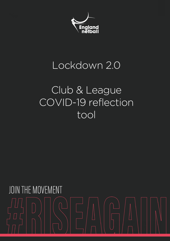

### Lockdown 2.0

## Club & League COVID-19 reflection tool

# JOIN THE MOVEMENT  $\overline{\Box}$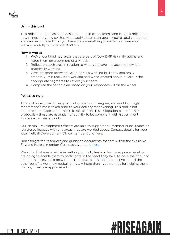

#### Using this tool

This reflection tool has been designed to help clubs, teams and leagues reflect on how things are going so that when activity can start again, you're totally prepared and can be confident that you have done everything possible to ensure your activity has fully considered COVID-19.

#### How it works

- 1. We've identified key areas that are part of COVID-19 risk mitigations and listed them on a segment of a wheel.
- 2. Reflect on each area in relation to what you have in place and how it is practically working.
- 3. Give it a score between 1 & 10; 10 = it's working brilliantly and really smoothly 1 = it really isn't working and we're worried about it. Colour the appropriate segments to reflect your score.
- 4. Complete the action plan based on your responses within the wheel

#### Points to note

This tool is designed to support clubs, teams and leagues; we would strongly recommend time is taken prior to your activity reconvening. This tool is not intended to replace either the Risk Assessment, Risk Mitigation plan or other protocols – these are essential for activity to be compliant with Government guidance for Team Sports.

Our Netball Development Officers are able to support any member clubs, teams or registered leagues with any areas they are worried about. Contact details for your local Netball Development Officer can be found [here.](https://www.englandnetball.co.uk/support/regions/)

Don't forget the resources and guidance documents that are within the exclusive England Netball member Care package found [here](https://www.englandnetball.co.uk/riseagain/covid-19-care-package/stage-4-covid-19-care-package/netball-organisations-and-covid-19-officers/)

We know that every netballer within your club, team or league appreciates all you are doing to enable them to participate in the sport they love, to have their hour of time to themselves, to be with their friends, to laugh or to be active and all the other benefits we know netball brings. A huge thank you from us for helping them do this, it really is appreciated x

## **#RISEAGAIN**

**JOIN THE MOVEMENT**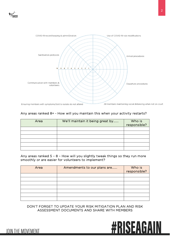



#### Any areas ranked 8+ - How will you maintain this when your activity restarts?

| Area | We'll maintain it being great by | Who is<br>responsible? |
|------|----------------------------------|------------------------|
|      |                                  |                        |
|      |                                  |                        |
|      |                                  |                        |
|      |                                  |                        |
|      |                                  |                        |
|      |                                  |                        |

Any areas ranked 5 – 8 – How will you slightly tweak things so they run more smoothly or are easier for volunteers to implement?

| Area | Amendments to our plans are | Who is<br>responsible? |
|------|-----------------------------|------------------------|
|      |                             |                        |
|      |                             |                        |
|      |                             |                        |
|      |                             |                        |
|      |                             |                        |
|      |                             |                        |
|      |                             |                        |

DON'T FORGET TO UPDATE YOUR RISK MITIGATION PLAN AND RISK ASSESSMENT DOCUMENTS AND SHARE WITH MEMBERS



#### **JOIN THE MOVEMENT**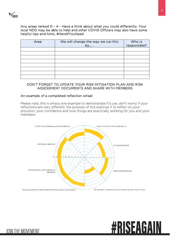

**JOIN THE MOVEMENT** 

Any areas ranked 0 – 4 – Have a think about what you could differently. Your local NDO may be able to help and other COVID Officers may also have some helpful tips and hints, #HereIfYouNeed

| Area | We will change the way we run this<br>by | Who is<br>responsible? |
|------|------------------------------------------|------------------------|
|      |                                          |                        |
|      |                                          |                        |
|      |                                          |                        |
|      |                                          |                        |
|      |                                          |                        |
|      |                                          |                        |
|      |                                          |                        |
|      |                                          |                        |

#### DON'T FORGET TO UPDATE YOUR RISK MITIGATION PLAN AND RISK ASSESSMENT DOCUMENTS AND SHARE WITH MEMBERS

#### An example of a completed reflection wheel

Please note, this is simply one example to demonstrate it's use, don't worry if your reflections are very different; the purpose of this exercise if to reflect on your provision, your confidence and how things are practically working for you and your members.